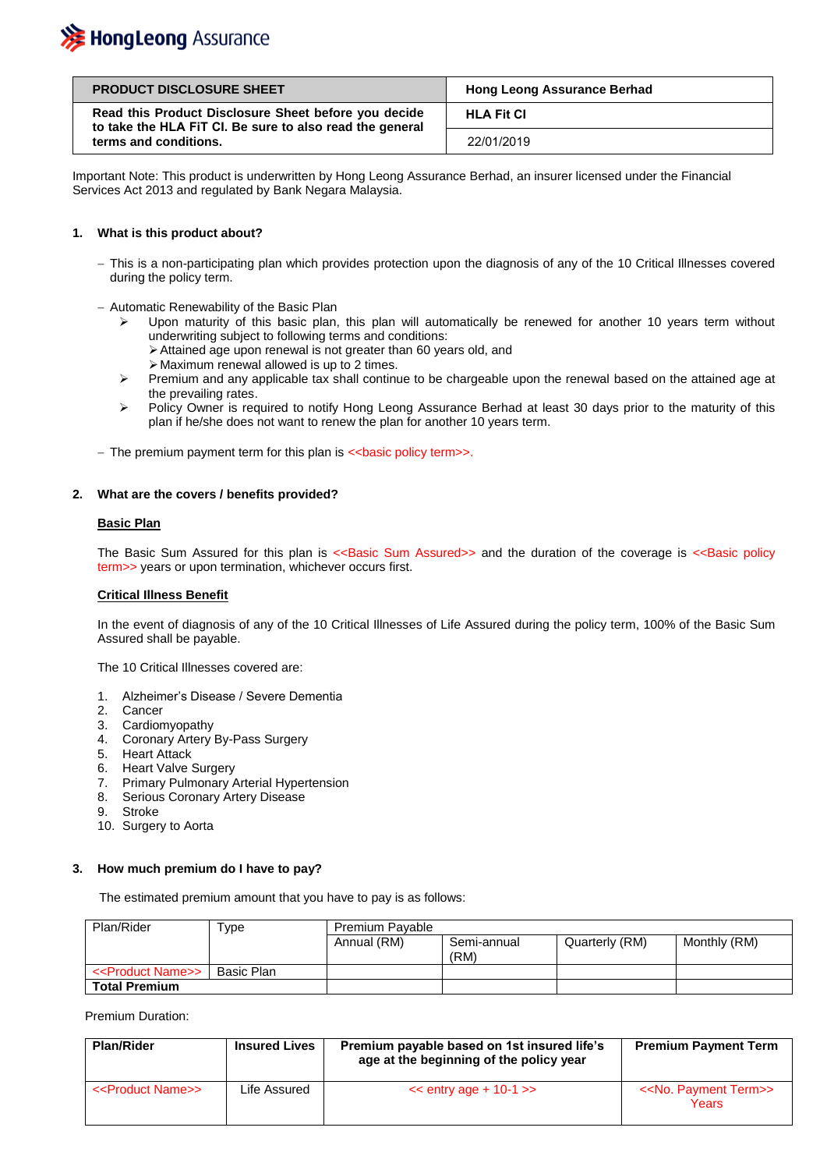## **》HongLeong** Assurance

| <b>PRODUCT DISCLOSURE SHEET</b>                                                                                  | <b>Hong Leong Assurance Berhad</b> |  |
|------------------------------------------------------------------------------------------------------------------|------------------------------------|--|
| Read this Product Disclosure Sheet before you decide<br>to take the HLA FIT CI. Be sure to also read the general | <b>HLA Fit CI</b>                  |  |
| terms and conditions.                                                                                            | 22/01/2019                         |  |

Important Note: This product is underwritten by Hong Leong Assurance Berhad, an insurer licensed under the Financial Services Act 2013 and regulated by Bank Negara Malaysia.

#### **1. What is this product about?**

- This is a non-participating plan which provides protection upon the diagnosis of any of the 10 Critical Illnesses covered during the policy term.
- Automatic Renewability of the Basic Plan
	- $\triangleright$  Upon maturity of this basic plan, this plan will automatically be renewed for another 10 years term without underwriting subject to following terms and conditions:
		- Attained age upon renewal is not greater than 60 years old, and
		- $\triangleright$  Maximum renewal allowed is up to 2 times.
	- $\triangleright$  Premium and any applicable tax shall continue to be chargeable upon the renewal based on the attained age at the prevailing rates.
	- Policy Owner is required to notify Hong Leong Assurance Berhad at least 30 days prior to the maturity of this plan if he/she does not want to renew the plan for another 10 years term.
- The premium payment term for this plan is << basic policy term >>.

#### **2. What are the covers / benefits provided?**

#### **Basic Plan**

The Basic Sum Assured for this plan is <<Basic Sum Assured>> and the duration of the coverage is <<Basic policy term>> years or upon termination, whichever occurs first.

#### **Critical Illness Benefit**

In the event of diagnosis of any of the 10 Critical Illnesses of Life Assured during the policy term, 100% of the Basic Sum Assured shall be payable.

The 10 Critical Illnesses covered are:

- 1. Alzheimer's Disease / Severe Dementia
- 2. Cancer
- 3. Cardiomyopathy
- 4. Coronary Artery By-Pass Surgery
- 5. Heart Attack
- 6. Heart Valve Surgery
- 7. Primary Pulmonary Arterial Hypertension
- 8. Serious Coronary Artery Disease
- 9. Stroke
- 10. Surgery to Aorta

#### **3. How much premium do I have to pay?**

The estimated premium amount that you have to pay is as follows:

| Plan/Rider                        | $\tau_{\text{ype}}$ | Premium Payable |                     |                |              |
|-----------------------------------|---------------------|-----------------|---------------------|----------------|--------------|
|                                   |                     | Annual (RM)     | Semi-annual<br>(RM) | Quarterly (RM) | Monthly (RM) |
| < <product name="">&gt;</product> | Basic Plan          |                 |                     |                |              |
| <b>Total Premium</b>              |                     |                 |                     |                |              |

Premium Duration:

| <b>Plan/Rider</b>                 | <b>Insured Lives</b> | Premium payable based on 1st insured life's<br>age at the beginning of the policy year | <b>Premium Payment Term</b>                    |
|-----------------------------------|----------------------|----------------------------------------------------------------------------------------|------------------------------------------------|
| < <product name="">&gt;</product> | Life Assured         | $<<$ entry age + 10-1 $>>$                                                             | < <no. payment="" term="">&gt;<br/>Years</no.> |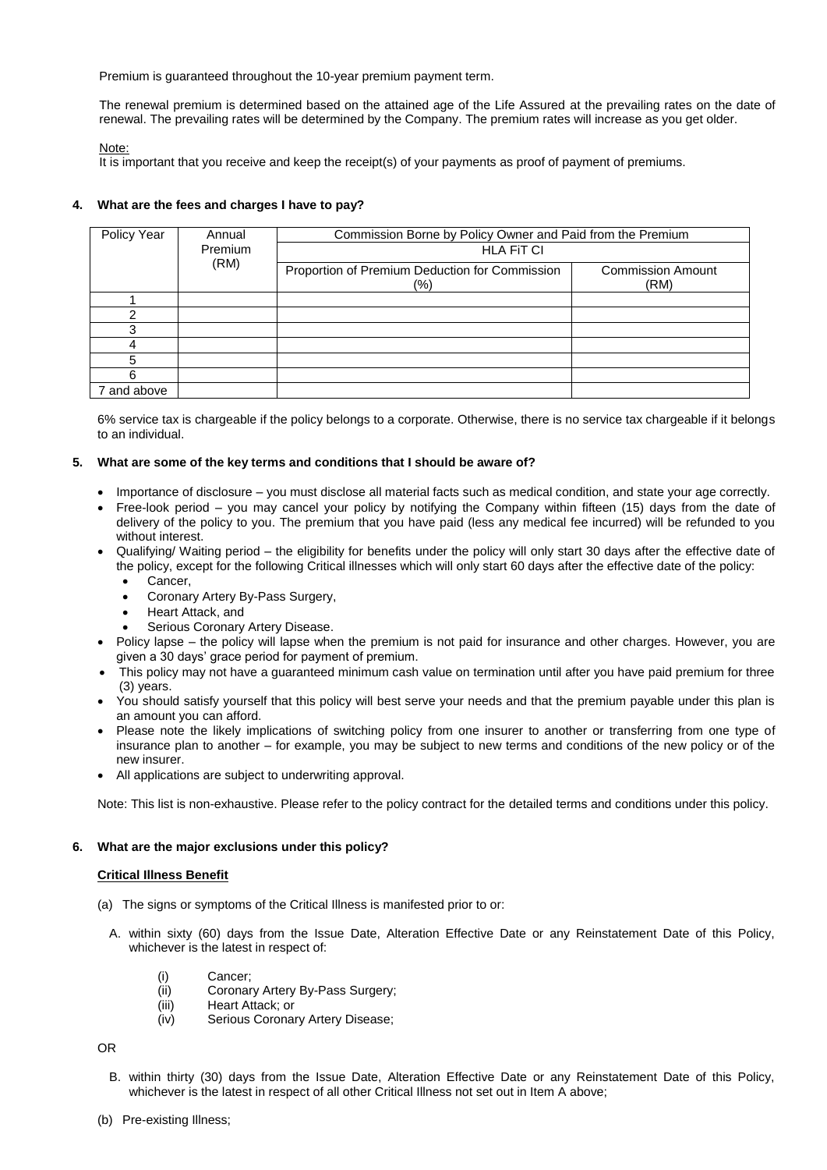Premium is guaranteed throughout the 10-year premium payment term.

The renewal premium is determined based on the attained age of the Life Assured at the prevailing rates on the date of renewal. The prevailing rates will be determined by the Company. The premium rates will increase as you get older.

Note:

It is important that you receive and keep the receipt(s) of your payments as proof of payment of premiums.

#### **4. What are the fees and charges I have to pay?**

| Policy Year | Annual                                                | Commission Borne by Policy Owner and Paid from the Premium |  |
|-------------|-------------------------------------------------------|------------------------------------------------------------|--|
|             | Premium                                               | <b>HLA FIT CI</b>                                          |  |
| (RM)        | Proportion of Premium Deduction for Commission<br>(%) | <b>Commission Amount</b><br>(RM)                           |  |
|             |                                                       |                                                            |  |
|             |                                                       |                                                            |  |
| ?           |                                                       |                                                            |  |
|             |                                                       |                                                            |  |
|             |                                                       |                                                            |  |
| 6           |                                                       |                                                            |  |
| 7 and above |                                                       |                                                            |  |

6% service tax is chargeable if the policy belongs to a corporate. Otherwise, there is no service tax chargeable if it belongs to an individual.

#### **5. What are some of the key terms and conditions that I should be aware of?**

- Importance of disclosure you must disclose all material facts such as medical condition, and state your age correctly.
- Free-look period you may cancel your policy by notifying the Company within fifteen (15) days from the date of delivery of the policy to you. The premium that you have paid (less any medical fee incurred) will be refunded to you without interest.
- Qualifying/ Waiting period the eligibility for benefits under the policy will only start 30 days after the effective date of the policy, except for the following Critical illnesses which will only start 60 days after the effective date of the policy:
	- Cancer,
	- Coronary Artery By-Pass Surgery,
	- Heart Attack, and
	- Serious Coronary Artery Disease.
- Policy lapse the policy will lapse when the premium is not paid for insurance and other charges. However, you are given a 30 days' grace period for payment of premium.
- This policy may not have a guaranteed minimum cash value on termination until after you have paid premium for three (3) years.
- You should satisfy yourself that this policy will best serve your needs and that the premium payable under this plan is an amount you can afford.
- Please note the likely implications of switching policy from one insurer to another or transferring from one type of insurance plan to another – for example, you may be subject to new terms and conditions of the new policy or of the new insurer.
- All applications are subject to underwriting approval.

Note: This list is non-exhaustive. Please refer to the policy contract for the detailed terms and conditions under this policy.

#### **6. What are the major exclusions under this policy?**

#### **Critical Illness Benefit**

- (a) The signs or symptoms of the Critical Illness is manifested prior to or:
	- A. within sixty (60) days from the Issue Date, Alteration Effective Date or any Reinstatement Date of this Policy, whichever is the latest in respect of:
		- (i) Cancer;
		- (ii) Coronary Artery By-Pass Surgery;
		- (iii) Heart Attack; or
		- (iv) Serious Coronary Artery Disease;

OR

- B. within thirty (30) days from the Issue Date, Alteration Effective Date or any Reinstatement Date of this Policy, whichever is the latest in respect of all other Critical Illness not set out in Item A above;
- (b) Pre-existing Illness;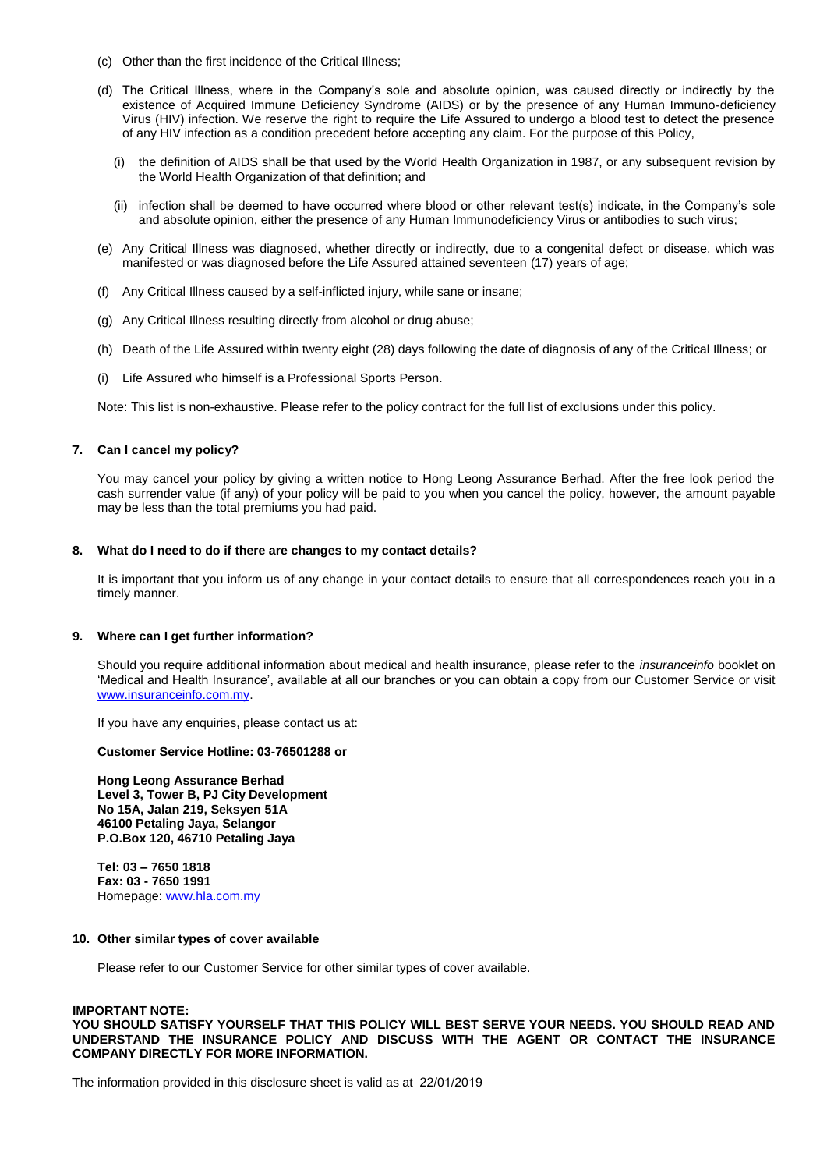- (c) Other than the first incidence of the Critical Illness;
- (d) The Critical Illness, where in the Company's sole and absolute opinion, was caused directly or indirectly by the existence of Acquired Immune Deficiency Syndrome (AIDS) or by the presence of any Human Immuno-deficiency Virus (HIV) infection. We reserve the right to require the Life Assured to undergo a blood test to detect the presence of any HIV infection as a condition precedent before accepting any claim. For the purpose of this Policy,
	- (i) the definition of AIDS shall be that used by the World Health Organization in 1987, or any subsequent revision by the World Health Organization of that definition; and
	- (ii) infection shall be deemed to have occurred where blood or other relevant test(s) indicate, in the Company's sole and absolute opinion, either the presence of any Human Immunodeficiency Virus or antibodies to such virus;
- (e) Any Critical Illness was diagnosed, whether directly or indirectly, due to a congenital defect or disease, which was manifested or was diagnosed before the Life Assured attained seventeen (17) years of age;
- (f) Any Critical Illness caused by a self-inflicted injury, while sane or insane;
- (g) Any Critical Illness resulting directly from alcohol or drug abuse;
- (h) Death of the Life Assured within twenty eight (28) days following the date of diagnosis of any of the Critical Illness; or
- (i) Life Assured who himself is a Professional Sports Person.

Note: This list is non-exhaustive. Please refer to the policy contract for the full list of exclusions under this policy.

#### **7. Can I cancel my policy?**

You may cancel your policy by giving a written notice to Hong Leong Assurance Berhad. After the free look period the cash surrender value (if any) of your policy will be paid to you when you cancel the policy, however, the amount payable may be less than the total premiums you had paid.

#### **8. What do I need to do if there are changes to my contact details?**

It is important that you inform us of any change in your contact details to ensure that all correspondences reach you in a timely manner.

#### **9. Where can I get further information?**

Should you require additional information about medical and health insurance, please refer to the *insuranceinfo* booklet on 'Medical and Health Insurance', available at all our branches or you can obtain a copy from our Customer Service or visit [www.insuranceinfo.com.my.](http://www.insuranceinfo.com.my/)

If you have any enquiries, please contact us at:

#### **Customer Service Hotline: 03-76501288 or**

**Hong Leong Assurance Berhad Level 3, Tower B, PJ City Development No 15A, Jalan 219, Seksyen 51A 46100 Petaling Jaya, Selangor P.O.Box 120, 46710 Petaling Jaya**

**Tel: 03 – 7650 1818 Fax: 03 - 7650 1991** Homepage: [www.hla.com.my](http://www.hla.com.my/)

#### **10. Other similar types of cover available**

Please refer to our Customer Service for other similar types of cover available.

#### **IMPORTANT NOTE:**

**YOU SHOULD SATISFY YOURSELF THAT THIS POLICY WILL BEST SERVE YOUR NEEDS. YOU SHOULD READ AND UNDERSTAND THE INSURANCE POLICY AND DISCUSS WITH THE AGENT OR CONTACT THE INSURANCE COMPANY DIRECTLY FOR MORE INFORMATION.**

The information provided in this disclosure sheet is valid as at 22/01/2019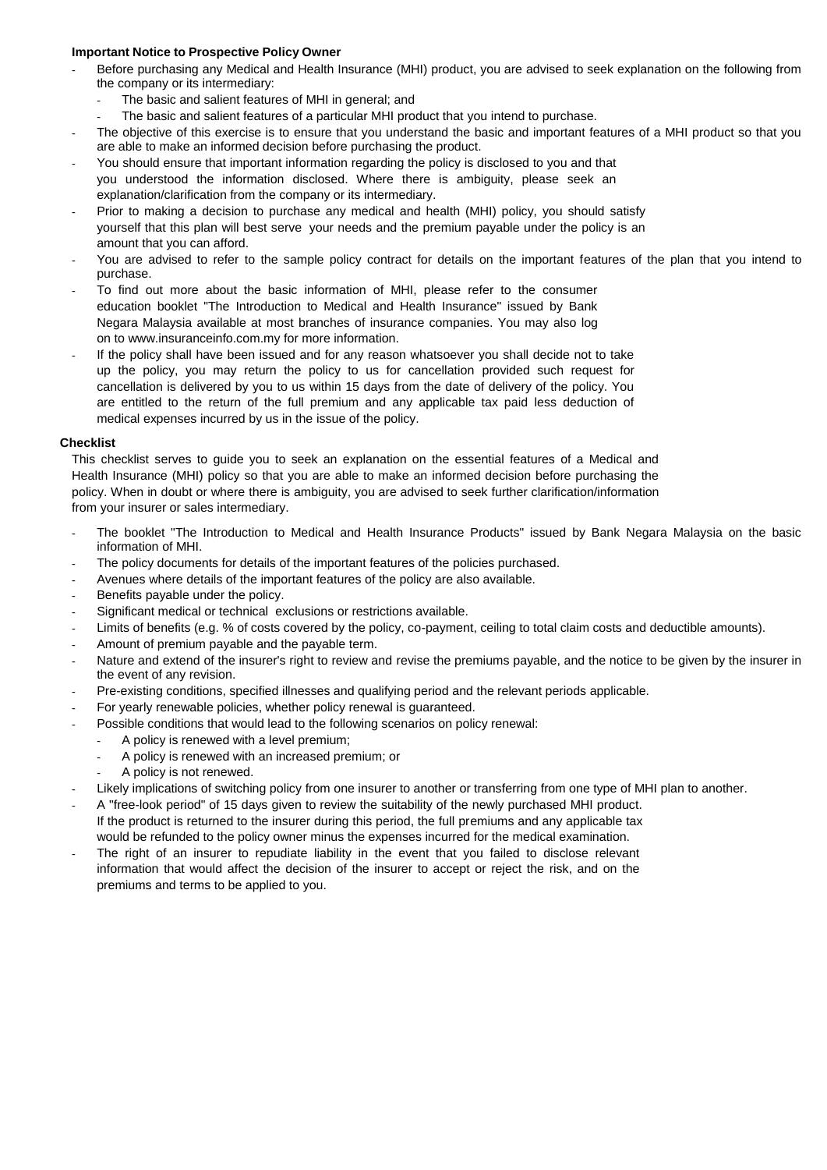#### **Important Notice to Prospective Policy Owner**

- Before purchasing any Medical and Health Insurance (MHI) product, you are advised to seek explanation on the following from the company or its intermediary:
	- The basic and salient features of MHI in general; and
	- The basic and salient features of a particular MHI product that you intend to purchase.
- The objective of this exercise is to ensure that you understand the basic and important features of a MHI product so that you are able to make an informed decision before purchasing the product.
- You should ensure that important information regarding the policy is disclosed to you and that you understood the information disclosed. Where there is ambiguity, please seek an explanation/clarification from the company or its intermediary.
- Prior to making a decision to purchase any medical and health (MHI) policy, you should satisfy yourself that this plan will best serve your needs and the premium payable under the policy is an amount that you can afford.
- You are advised to refer to the sample policy contract for details on the important features of the plan that you intend to purchase.
- To find out more about the basic information of MHI, please refer to the consumer education booklet "The Introduction to Medical and Health Insurance" issued by Bank Negara Malaysia available at most branches of insurance companies. You may also log on to www.insuranceinfo.com.my for more information.
- If the policy shall have been issued and for any reason whatsoever you shall decide not to take up the policy, you may return the policy to us for cancellation provided such request for cancellation is delivered by you to us within 15 days from the date of delivery of the policy. You are entitled to the return of the full premium and any applicable tax paid less deduction of medical expenses incurred by us in the issue of the policy.

#### **Checklist**

This checklist serves to guide you to seek an explanation on the essential features of a Medical and Health Insurance (MHI) policy so that you are able to make an informed decision before purchasing the policy. When in doubt or where there is ambiguity, you are advised to seek further clarification/information from your insurer or sales intermediary.

- The booklet "The Introduction to Medical and Health Insurance Products" issued by Bank Negara Malaysia on the basic information of MHI.
- The policy documents for details of the important features of the policies purchased.
- Avenues where details of the important features of the policy are also available.
- Benefits payable under the policy.
- Significant medical or technical exclusions or restrictions available.
- Limits of benefits (e.g. % of costs covered by the policy, co-payment, ceiling to total claim costs and deductible amounts).
- Amount of premium payable and the payable term.
- Nature and extend of the insurer's right to review and revise the premiums payable, and the notice to be given by the insurer in the event of any revision.
- Pre-existing conditions, specified illnesses and qualifying period and the relevant periods applicable.
- For yearly renewable policies, whether policy renewal is guaranteed.
- Possible conditions that would lead to the following scenarios on policy renewal:
	- A policy is renewed with a level premium;
		- A policy is renewed with an increased premium; or
	- A policy is not renewed.
- Likely implications of switching policy from one insurer to another or transferring from one type of MHI plan to another.
- A "free-look period" of 15 days given to review the suitability of the newly purchased MHI product. If the product is returned to the insurer during this period, the full premiums and any applicable tax would be refunded to the policy owner minus the expenses incurred for the medical examination.
- The right of an insurer to repudiate liability in the event that you failed to disclose relevant information that would affect the decision of the insurer to accept or reject the risk, and on the premiums and terms to be applied to you.